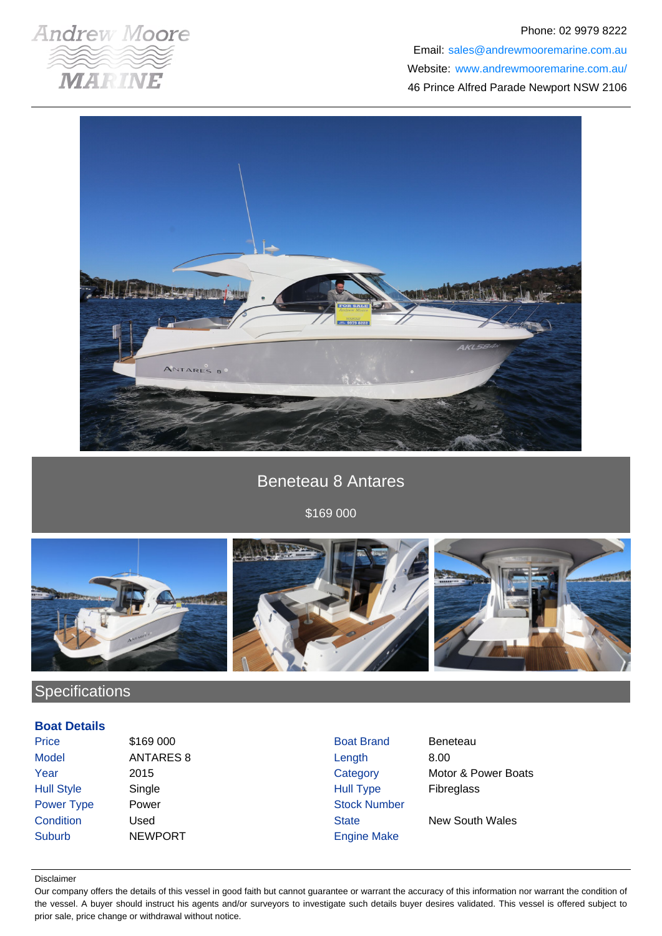

## Phone: 02 9979 8222 Email: sales@andrewmooremarine.com.au Website: www.andrewmooremarine.com.au/ 46 Prince Alfred Parade Newport NSW 2106



# Beneteau 8 Antares

\$169 000



# **Specifications**

#### **Boat Details**

| Price             | \$169 000        | <b>Boat Brand</b>   | <b>Beneteau</b>        |
|-------------------|------------------|---------------------|------------------------|
| <b>Model</b>      | <b>ANTARES 8</b> | Length              | 8.00                   |
| Year              | 2015             | Category            | Motor & Power Boats    |
| <b>Hull Style</b> | Single           | <b>Hull Type</b>    | <b>Fibreglass</b>      |
| Power Type        | Power            | <b>Stock Number</b> |                        |
| Condition         | Used             | <b>State</b>        | <b>New South Wales</b> |
| <b>Suburb</b>     | <b>NEWPORT</b>   | <b>Engine Make</b>  |                        |

#### Disclaimer

Our company offers the details of this vessel in good faith but cannot guarantee or warrant the accuracy of this information nor warrant the condition of the vessel. A buyer should instruct his agents and/or surveyors to investigate such details buyer desires validated. This vessel is offered subject to prior sale, price change or withdrawal without notice.